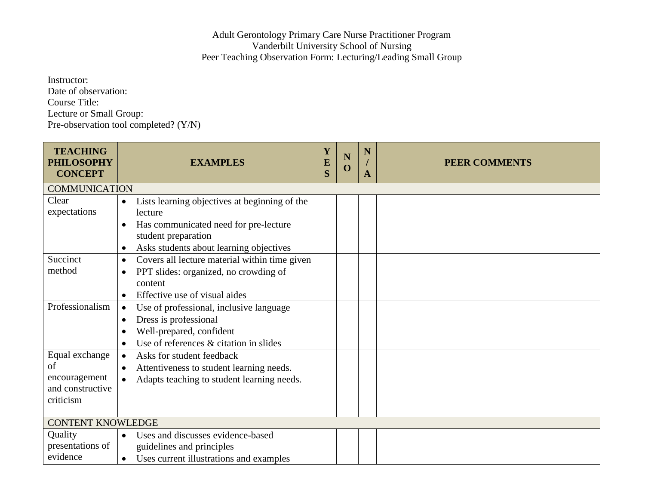## Adult Gerontology Primary Care Nurse Practitioner Program Vanderbilt University School of Nursing Peer Teaching Observation Form: Lecturing/Leading Small Group

Instructor: Date of observation: Course Title: Lecture or Small Group: Pre-observation tool completed? (Y/N)

| <b>TEACHING</b><br><b>PHILOSOPHY</b><br><b>CONCEPT</b>                         | <b>EXAMPLES</b>                                                                                                                                                                               | Y<br>$\overline{E}$<br>S | N<br>$\mathbf 0$ | N<br>A | <b>PEER COMMENTS</b> |  |
|--------------------------------------------------------------------------------|-----------------------------------------------------------------------------------------------------------------------------------------------------------------------------------------------|--------------------------|------------------|--------|----------------------|--|
| <b>COMMUNICATION</b>                                                           |                                                                                                                                                                                               |                          |                  |        |                      |  |
| Clear<br>expectations                                                          | Lists learning objectives at beginning of the<br>$\bullet$<br>lecture<br>Has communicated need for pre-lecture<br>student preparation<br>Asks students about learning objectives<br>$\bullet$ |                          |                  |        |                      |  |
| Succinct<br>method                                                             | Covers all lecture material within time given<br>$\bullet$<br>PPT slides: organized, no crowding of<br>$\bullet$<br>content<br>Effective use of visual aides<br>$\bullet$                     |                          |                  |        |                      |  |
| Professionalism                                                                | Use of professional, inclusive language<br>$\bullet$<br>Dress is professional<br>$\bullet$<br>Well-prepared, confident<br>Use of references & citation in slides                              |                          |                  |        |                      |  |
| Equal exchange<br>$\sigma$ f<br>encouragement<br>and constructive<br>criticism | Asks for student feedback<br>$\bullet$<br>Attentiveness to student learning needs.<br>$\bullet$<br>Adapts teaching to student learning needs.<br>$\bullet$                                    |                          |                  |        |                      |  |
| <b>CONTENT KNOWLEDGE</b>                                                       |                                                                                                                                                                                               |                          |                  |        |                      |  |
| Quality<br>presentations of<br>evidence                                        | Uses and discusses evidence-based<br>$\bullet$<br>guidelines and principles<br>Uses current illustrations and examples<br>$\bullet$                                                           |                          |                  |        |                      |  |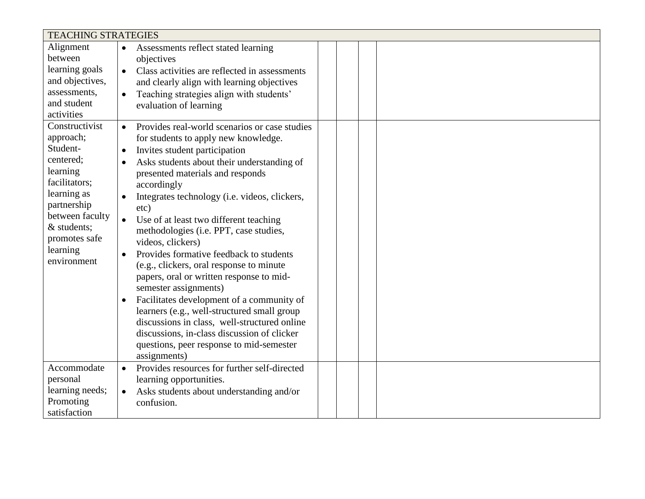| <b>TEACHING STRATEGIES</b>                                                                                                                                                                    |                                                                                                                                                                                                                                                                                                                                                                                                                                                                                                                                                                                                                                                                                                                                                                                                                                                                  |  |  |  |  |  |
|-----------------------------------------------------------------------------------------------------------------------------------------------------------------------------------------------|------------------------------------------------------------------------------------------------------------------------------------------------------------------------------------------------------------------------------------------------------------------------------------------------------------------------------------------------------------------------------------------------------------------------------------------------------------------------------------------------------------------------------------------------------------------------------------------------------------------------------------------------------------------------------------------------------------------------------------------------------------------------------------------------------------------------------------------------------------------|--|--|--|--|--|
| Alignment<br>between<br>learning goals                                                                                                                                                        | $\bullet$<br>Assessments reflect stated learning<br>objectives<br>Class activities are reflected in assessments                                                                                                                                                                                                                                                                                                                                                                                                                                                                                                                                                                                                                                                                                                                                                  |  |  |  |  |  |
| and objectives,<br>assessments,<br>and student<br>activities                                                                                                                                  | and clearly align with learning objectives<br>Teaching strategies align with students'<br>$\bullet$<br>evaluation of learning                                                                                                                                                                                                                                                                                                                                                                                                                                                                                                                                                                                                                                                                                                                                    |  |  |  |  |  |
| Constructivist<br>approach;<br>Student-<br>centered;<br>learning<br>facilitators;<br>learning as<br>partnership<br>between faculty<br>& students;<br>promotes safe<br>learning<br>environment | Provides real-world scenarios or case studies<br>$\bullet$<br>for students to apply new knowledge.<br>Invites student participation<br>$\bullet$<br>Asks students about their understanding of<br>presented materials and responds<br>accordingly<br>Integrates technology (i.e. videos, clickers,<br>etc)<br>Use of at least two different teaching<br>methodologies (i.e. PPT, case studies,<br>videos, clickers)<br>Provides formative feedback to students<br>$\bullet$<br>(e.g., clickers, oral response to minute<br>papers, oral or written response to mid-<br>semester assignments)<br>Facilitates development of a community of<br>$\bullet$<br>learners (e.g., well-structured small group<br>discussions in class, well-structured online<br>discussions, in-class discussion of clicker<br>questions, peer response to mid-semester<br>assignments) |  |  |  |  |  |
| Accommodate<br>personal<br>learning needs;<br>Promoting<br>satisfaction                                                                                                                       | Provides resources for further self-directed<br>$\bullet$<br>learning opportunities.<br>Asks students about understanding and/or<br>$\bullet$<br>confusion.                                                                                                                                                                                                                                                                                                                                                                                                                                                                                                                                                                                                                                                                                                      |  |  |  |  |  |